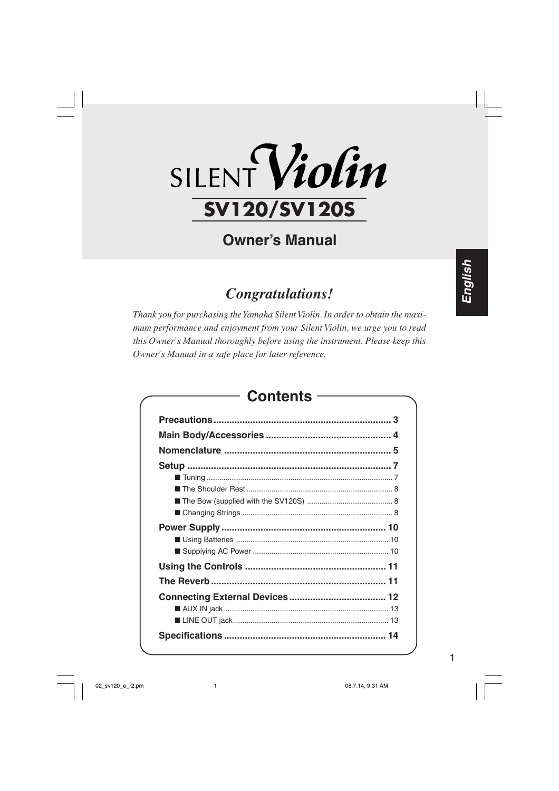

# **Owner's Manual**

# *Congratulations!*

*Thank you for purchasing the Yamaha Silent Violin. In order to obtain the maximum performance and enjoyment from your Silent Violin, we urge you to read this Owner's Manual thoroughly before using the instrument. Please keep this Owner's Manual in a safe place for later reference.*

# **Contents**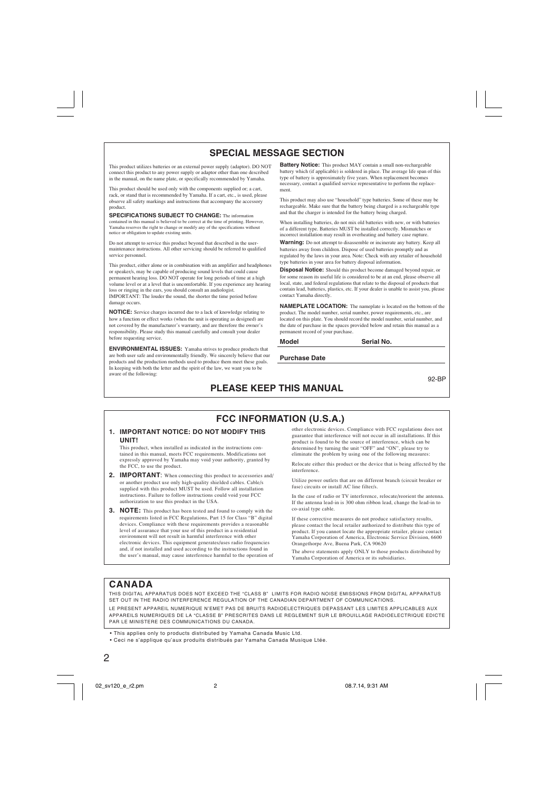# **SPECIAL MESSAGE SECTION**

This product utilizes batteries or an external power supply (adaptor). DO NOT connect this product to any power supply or adaptor other than one described in the manual, on the name plate, or specifically recommended by Yamaha.

This product should be used only with the components supplied or; a cart, rack, or stand that is recommended by Yamaha. If a cart, etc., is used, please observe all safety markings and instructions that accompany the accessory product.

**SPECIFICATIONS SUBJECT TO CHANGE:** The information contained in this manual is believed to be correct at the time of printing. However, Yamaha reserves the right to change or modify any of the specifications without notice or obligation to update existing units.

Do not attempt to service this product beyond that described in the usermaintenance instructions. All other servicing should be referred to qualified service personnel.

This product, either alone or in combination with an amplifier and headphones or speaker/s, may be capable of producing sound levels that could cause permanent hearing loss. DO NOT operate for long periods of time at a high volume level or at a level that is uncomfortable. If you experience any hearing loss or ringing in the ears, you should consult an audiologist. IMPORTANT: The louder the sound, the shorter the time period before damage occurs.

**NOTICE:** Service charges incurred due to a lack of knowledge relating to how a function or effect works (when the unit is operating as designed) are not covered by the manufacturer's warranty, and are therefore the owner's responsibility. Please study this manual carefully and consult your dealer before requesting service.

**ENVIRONMENTAL ISSUES:** Yamaha strives to produce products that are both user safe and environmentally friendly. We sincerely believe that our products and the production methods used to produce them meet these goals. In keeping with both the letter and the spirit of the law, we want you to be aware of the following:

**Battery Notice:** This product MAY contain a small non-rechargeable battery which (if applicable) is soldered in place. The average life span of this type of battery is approximately five years. When replacement becomes necessary, contact a qualified service representative to perform the replacement.

This product may also use "household" type batteries. Some of these may be rechargeable. Make sure that the battery being charged is a rechargeable type and that the charger is intended for the battery being charged.

When installing batteries, do not mix old batteries with new, or with batteries of a different type. Batteries MUST be installed correctly. Mismatches or incorrect installation may result in overheating and battery case rupture.

**Warning:** Do not attempt to disassemble or incinerate any battery. Keep all batteries away from children. Dispose of used batteries promptly and as regulated by the laws in your area. Note: Check with any retailer of household type batteries in your area for battery disposal information.

**Disposal Notice:** Should this product become damaged beyond repair, or for some reason its useful life is considered to be at an end, please observe all local, state, and federal regulations that relate to the disposal of products that contain lead, batteries, plastics, etc. If your dealer is unable to assist you, please contact Yamaha directly.

**NAMEPLATE LOCATION:** The nameplate is located on the bottom of the product. The model number, serial number, power requirements, etc., are located on this plate. You should record the model number, serial number, and the date of purchase in the spaces provided below and retain this manual as a permanent record of your purchase.

**Model Serial No.**

**Purchase Date**

92-BP

### **PLEASE KEEP THIS MANUAL**

### **FCC INFORMATION (U.S.A.)**

#### **1. IMPORTANT NOTICE: DO NOT MODIFY THIS UNIT!**

This product, when installed as indicated in the instructions contained in this manual, meets FCC requirements. Modifications not expressly approved by Yamaha may void your authority, granted by the FCC, to use the product.

- **2. IMPORTANT**: When connecting this product to accessories and/ or another product use only high-quality shielded cables. Cable/s supplied with this product MUST be used. Follow all installation instructions. Failure to follow instructions could void your FCC authorization to use this product in the USA.
- **3. NOTE:** This product has been tested and found to comply with the requirements listed in FCC Regulations, Part 15 for Class "B" digital devices. Compliance with these requirements provides a reasonable level of assurance that your use of this product in a residential environment will not result in harmful interference with other electronic devices. This equipment generates/uses radio frequencies and, if not installed and used according to the instructions found in the user's manual, may cause interference harmful to the operation of

other electronic devices. Compliance with FCC regulations does not guarantee that interference will not occur in all installations. If this product is found to be the source of interference, which can be determined by turning the unit "OFF" and "ON", please try to eliminate the problem by using one of the following measures:

Relocate either this product or the device that is being affected by the interference.

Utilize power outlets that are on different branch (circuit breaker or fuse) circuits or install  $\Delta C$  line filter/s.

In the case of radio or TV interference, relocate/reorient the antenna. If the antenna lead-in is 300 ohm ribbon lead, change the lead-in to co-axial type cable.

If these corrective measures do not produce satisfactory results, please contact the local retailer authorized to distribute this type of product. If you cannot locate the appropriate retailer, please contact Yamaha Corporation of America, Electronic Service Division, 6600 Orangethorpe Ave, Buena Park, CA 90620

The above statements apply ONLY to those products distributed by Yamaha Corporation of America or its subsidiaries.

### **CANADA**

THIS DIGITAL APPARATUS DOES NOT EXCEED THE "CLASS B" LIMITS FOR RADIO NOISE EMISSIONS FROM DIGITAL APPARATUS SET OUT IN THE RADIO INTERFERENCE REGULATION OF THE CANADIAN DEPARTMENT OF COMMUNICATIONS.

LE PRESENT APPAREIL NUMERIQUE N'EMET PAS DE BRUITS RADIOELECTRIQUES DEPASSANT LES LIMITES APPLICABLES AUX APPAREILS NUMERIQUES DE LA "CLASSE B" PRESCRITES DANS LE REGLEMENT SUR LE BROUILLAGE RADIOELECTRIQUE EDICTE PAR LE MINISTERE DES COMMUNICATIONS DU CANADA.

• Ceci ne s'applique qu'aux produits distribués par Yamaha Canada Musique Ltée.

<sup>•</sup> This applies only to products distributed by Yamaha Canada Music Ltd.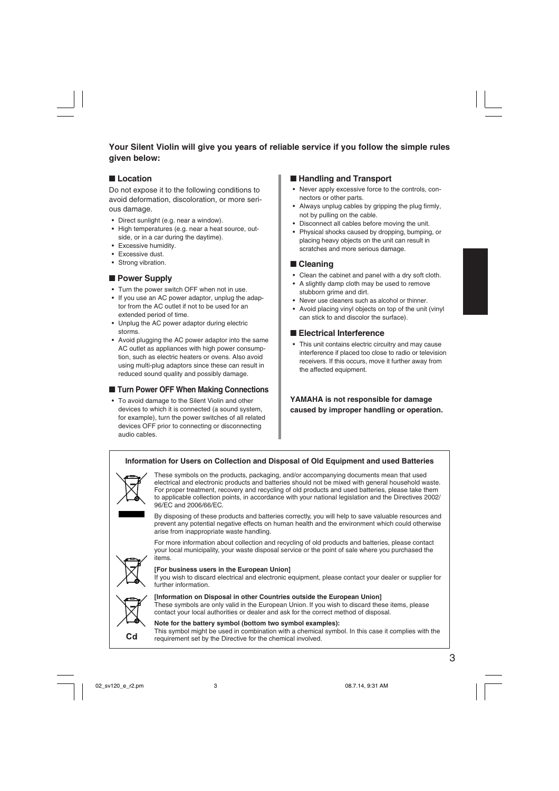### **Your Silent Violin will give you years of reliable service if you follow the simple rules given below:**

### ■**Location**

Do not expose it to the following conditions to avoid deformation, discoloration, or more serious damage.

- Direct sunlight (e.g. near a window).
- High temperatures (e.g. near a heat source, outside, or in a car during the daytime).
- Excessive humidity.
- Excessive dust.
- Strong vibration

### ■ Power Supply

- Turn the power switch OFF when not in use.
- If you use an AC power adaptor, unplug the adaptor from the AC outlet if not to be used for an extended period of time.
- Unplug the AC power adaptor during electric storms.
- Avoid plugging the AC power adaptor into the same AC outlet as appliances with high power consumption, such as electric heaters or ovens. Also avoid using multi-plug adaptors since these can result in reduced sound quality and possibly damage.

### ■ **Turn Power OFF When Making Connections**

• To avoid damage to the Silent Violin and other devices to which it is connected (a sound system, for example), turn the power switches of all related devices OFF prior to connecting or disconnecting audio cables.

### ■**Handling and Transport**

- Never apply excessive force to the controls, connectors or other parts.
- Always unplug cables by gripping the plug firmly, not by pulling on the cable.
- Disconnect all cables before moving the unit.
- Physical shocks caused by dropping, bumping, or placing heavy objects on the unit can result in scratches and more serious damage.

### ■ **Cleaning**

- Clean the cabinet and panel with a dry soft cloth.
- A slightly damp cloth may be used to remove stubborn grime and dirt.
- Never use cleaners such as alcohol or thinner.
- Avoid placing vinyl objects on top of the unit (vinyl can stick to and discolor the surface).

#### ■ **Electrical Interference**

• This unit contains electric circuitry and may cause interference if placed too close to radio or television receivers. If this occurs, move it further away from the affected equipment.

**YAMAHA is not responsible for damage caused by improper handling or operation.**

#### **Information for Users on Collection and Disposal of Old Equipment and used Batteries**



These symbols on the products, packaging, and/or accompanying documents mean that used electrical and electronic products and batteries should not be mixed with general household waste. For proper treatment, recovery and recycling of old products and used batteries, please take them to applicable collection points, in accordance with your national legislation and the Directives 2002/ 96/EC and 2006/66/EC.

By disposing of these products and batteries correctly, you will help to save valuable resources and prevent any potential negative effects on human health and the environment which could otherwise arise from inappropriate waste handling.

For more information about collection and recycling of old products and batteries, please contact your local municipality, your waste disposal service or the point of sale where you purchased the items.



#### **[For business users in the European Union]**

If you wish to discard electrical and electronic equipment, please contact your dealer or supplier for further information.



 $Cd$ 

#### **[Information on Disposal in other Countries outside the European Union]** These symbols are only valid in the European Union. If you wish to discard these items, please

contact your local authorities or dealer and ask for the correct method of disposal.

#### **Note for the battery symbol (bottom two symbol examples):**

This symbol might be used in combination with a chemical symbol. In this case it complies with the requirement set by the Directive for the chemical involved.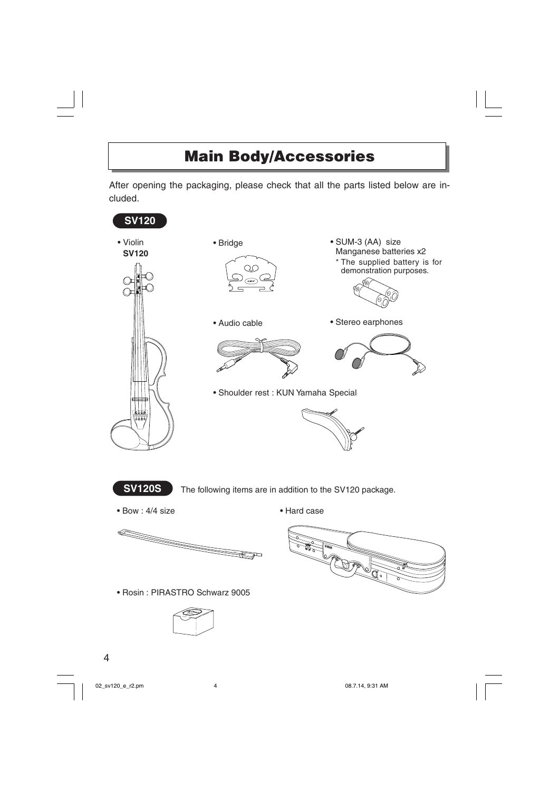# **Main Body/Accessories**

After opening the packaging, please check that all the parts listed below are included.

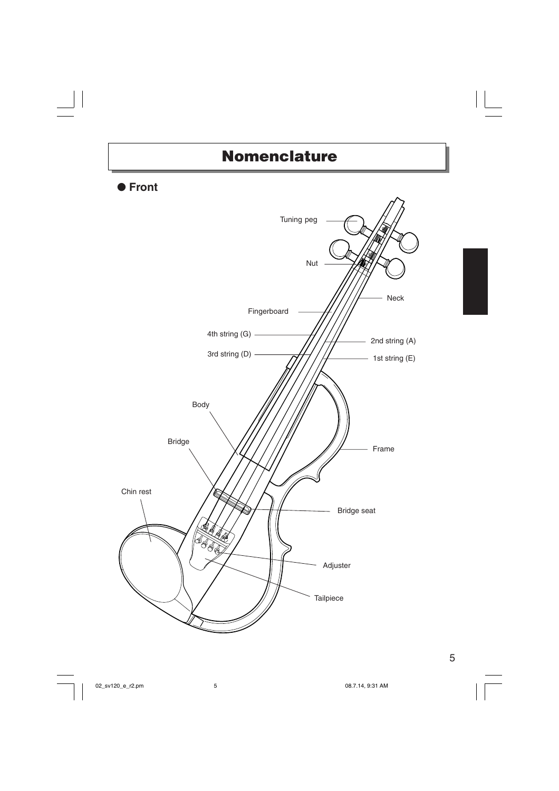# **Nomenclature**

# ● **Front**

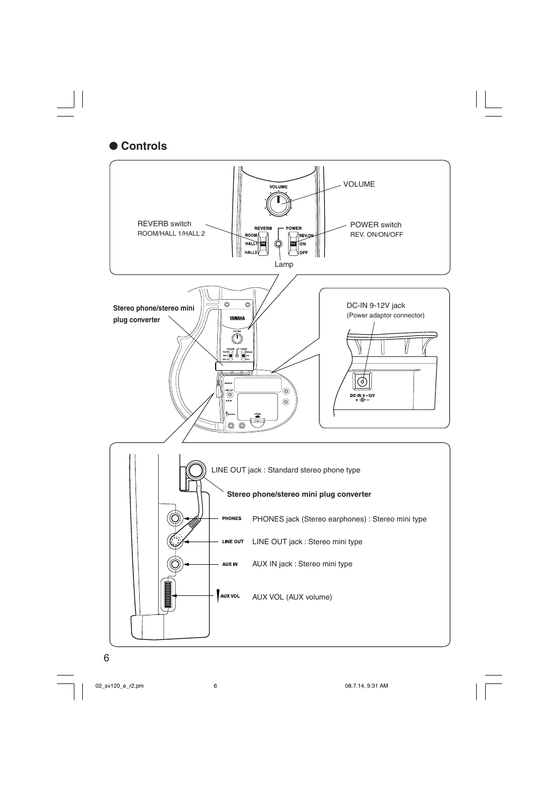

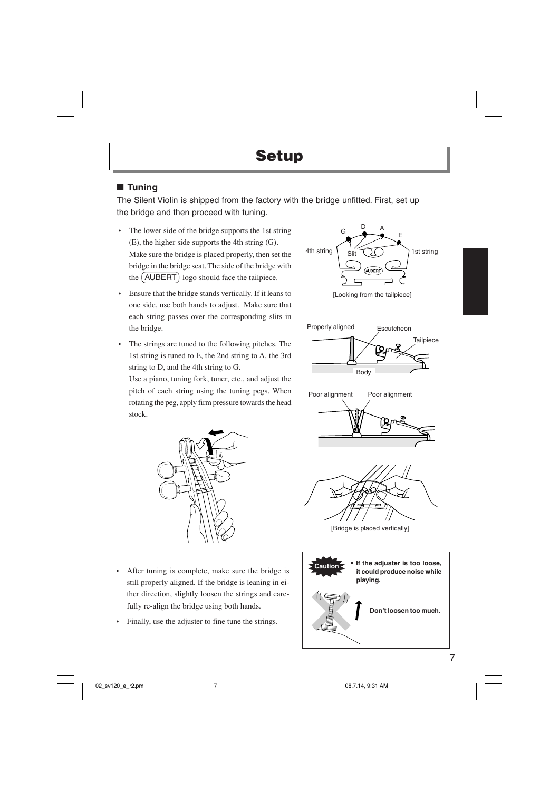# ■ **Tuning**

The Silent Violin is shipped from the factory with the bridge unfitted. First, set up the bridge and then proceed with tuning.

- The lower side of the bridge supports the 1st string (E), the higher side supports the 4th string (G). Make sure the bridge is placed properly, then set the bridge in the bridge seat. The side of the bridge with the  $(AUBERT)$  logo should face the tailpiece.
- Ensure that the bridge stands vertically. If it leans to one side, use both hands to adjust. Make sure that each string passes over the corresponding slits in the bridge.
- The strings are tuned to the following pitches. The 1st string is tuned to E, the 2nd string to A, the 3rd string to D, and the 4th string to G.

Use a piano, tuning fork, tuner, etc., and adjust the pitch of each string using the tuning pegs. When rotating the peg, apply firm pressure towards the head stock.



- After tuning is complete, make sure the bridge is still properly aligned. If the bridge is leaning in either direction, slightly loosen the strings and carefully re-align the bridge using both hands.
- Finally, use the adjuster to fine tune the strings.



[Looking from the tailpiece]







[Bridge is placed vertically]

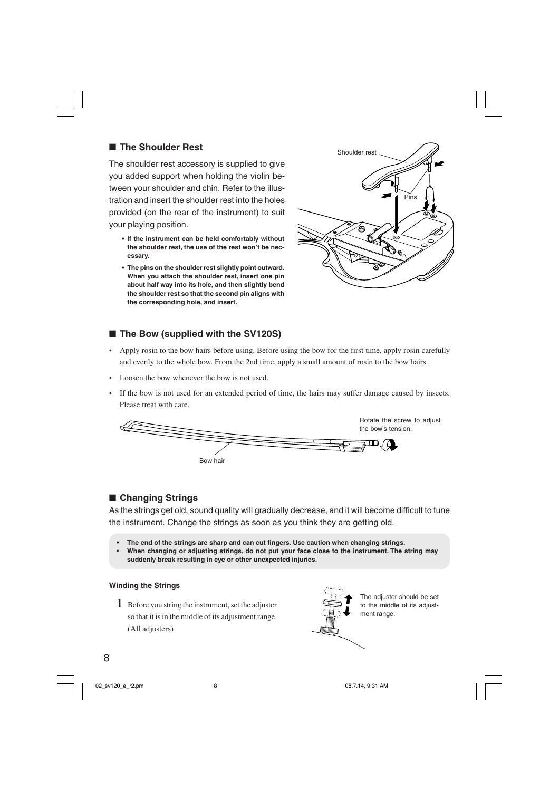### ■ The Shoulder Rest

The shoulder rest accessory is supplied to give you added support when holding the violin between your shoulder and chin. Refer to the illustration and insert the shoulder rest into the holes provided (on the rear of the instrument) to suit your playing position.

- **• If the instrument can be held comfortably without the shoulder rest, the use of the rest won't be necessary.**
- **• The pins on the shoulder rest slightly point outward. When you attach the shoulder rest, insert one pin about half way into its hole, and then slightly bend the shoulder rest so that the second pin aligns with the corresponding hole, and insert.**



# ■ **The Bow (supplied with the SV120S)**

- Apply rosin to the bow hairs before using. Before using the bow for the first time, apply rosin carefully and evenly to the whole bow. From the 2nd time, apply a small amount of rosin to the bow hairs.
- Loosen the bow whenever the bow is not used.
- If the bow is not used for an extended period of time, the hairs may suffer damage caused by insects. Please treat with care.



# ■ **Changing Strings**

As the strings get old, sound quality will gradually decrease, and it will become difficult to tune the instrument. Change the strings as soon as you think they are getting old.

- **• The end of the strings are sharp and can cut fingers. Use caution when changing strings.**
- **• When changing or adjusting strings, do not put your face close to the instrument. The string may suddenly break resulting in eye or other unexpected injuries.**

#### **Winding the Strings**

**1** Before you string the instrument, set the adjuster so that it is in the middle of its adjustment range. (All adjusters)



The adjuster should be set to the middle of its adjustment range.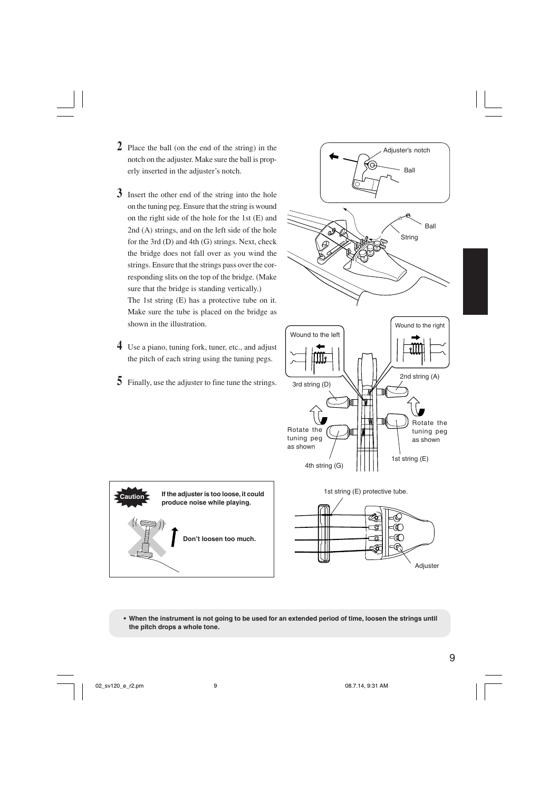- **2** Place the ball (on the end of the string) in the notch on the adjuster. Make sure the ball is properly inserted in the adjuster's notch.
- **3** Insert the other end of the string into the hole on the tuning peg. Ensure that the string is wound on the right side of the hole for the 1st (E) and 2nd (A) strings, and on the left side of the hole for the 3rd (D) and 4th (G) strings. Next, check the bridge does not fall over as you wind the strings. Ensure that the strings pass over the corresponding slits on the top of the bridge. (Make sure that the bridge is standing vertically.)

The 1st string (E) has a protective tube on it. Make sure the tube is placed on the bridge as shown in the illustration.

- **4** Use a piano, tuning fork, tuner, etc., and adjust the pitch of each string using the tuning pegs.
- **5** Finally, use the adjuster to fine tune the strings.



![](_page_8_Picture_6.jpeg)

**• When the instrument is not going to be used for an extended period of time, loosen the strings until the pitch drops a whole tone.**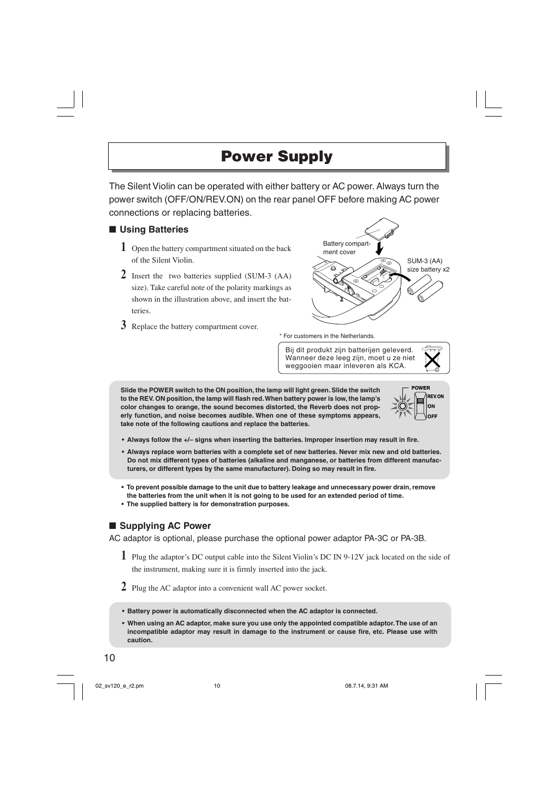# **Power Supply**

The Silent Violin can be operated with either battery or AC power. Always turn the power switch (OFF/ON/REV.ON) on the rear panel OFF before making AC power connections or replacing batteries.

### ■ **Using Batteries**

- **1** Open the battery compartment situated on the back of the Silent Violin.
- **2** Insert the two batteries supplied (SUM-3 (AA) size). Take careful note of the polarity markings as shown in the illustration above, and insert the batteries.
- **3** Replace the battery compartment cover.

![](_page_9_Figure_6.jpeg)

\* For customers in the Netherlands.

Bij dit produkt zijn batterijen geleverd. Wanneer deze leeg zijn, moet u ze niet weggooien maar inleveren als KCA.

**Slide the POWER switch to the ON position, the lamp will light green. Slide the switch to the REV. ON position, the lamp will flash red. When battery power is low, the lamp's color changes to orange, the sound becomes distorted, the Reverb does not properly function, and noise becomes audible. When one of these symptoms appears, take note of the following cautions and replace the batteries.**

![](_page_9_Picture_10.jpeg)

- **Always follow the +/– signs when inserting the batteries. Improper insertion may result in fire.**
- **Always replace worn batteries with a complete set of new batteries. Never mix new and old batteries. Do not mix different types of batteries (alkaline and manganese, or batteries from different manufacturers, or different types by the same manufacturer). Doing so may result in fire.**
- **To prevent possible damage to the unit due to battery leakage and unnecessary power drain, remove the batteries from the unit when it is not going to be used for an extended period of time.**
- **• The supplied battery is for demonstration purposes.**

### ■ Supplying AC Power

AC adaptor is optional, please purchase the optional power adaptor PA-3C or PA-3B.

- **1** Plug the adaptor's DC output cable into the Silent Violin's DC IN 9-12V jack located on the side of the instrument, making sure it is firmly inserted into the jack.
- **2** Plug the AC adaptor into a convenient wall AC power socket.
- **• Battery power is automatically disconnected when the AC adaptor is connected.**
- **• When using an AC adaptor, make sure you use only the appointed compatible adaptor. The use of an incompatible adaptor may result in damage to the instrument or cause fire, etc. Please use with caution.**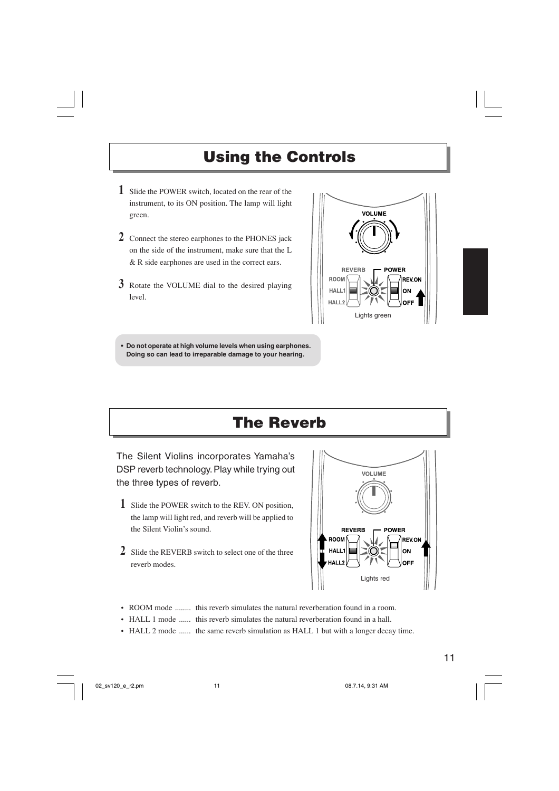# **Using the Controls**

- **1** Slide the POWER switch, located on the rear of the instrument, to its ON position. The lamp will light green.
- **2** Connect the stereo earphones to the PHONES jack on the side of the instrument, make sure that the L & R side earphones are used in the correct ears.
- **3** Rotate the VOLUME dial to the desired playing level.

![](_page_10_Picture_4.jpeg)

**• Do not operate at high volume levels when using earphones. Doing so can lead to irreparable damage to your hearing.**

# **The Reverb**

The Silent Violins incorporates Yamaha's DSP reverb technology. Play while trying out the three types of reverb.

- **1** Slide the POWER switch to the REV. ON position, the lamp will light red, and reverb will be applied to the Silent Violin's sound.
- **2** Slide the REVERB switch to select one of the three reverb modes.

![](_page_10_Figure_10.jpeg)

- ROOM mode ........ this reverb simulates the natural reverberation found in a room.
- HALL 1 mode ...... this reverb simulates the natural reverberation found in a hall.
- HALL 2 mode ...... the same reverb simulation as HALL 1 but with a longer decay time.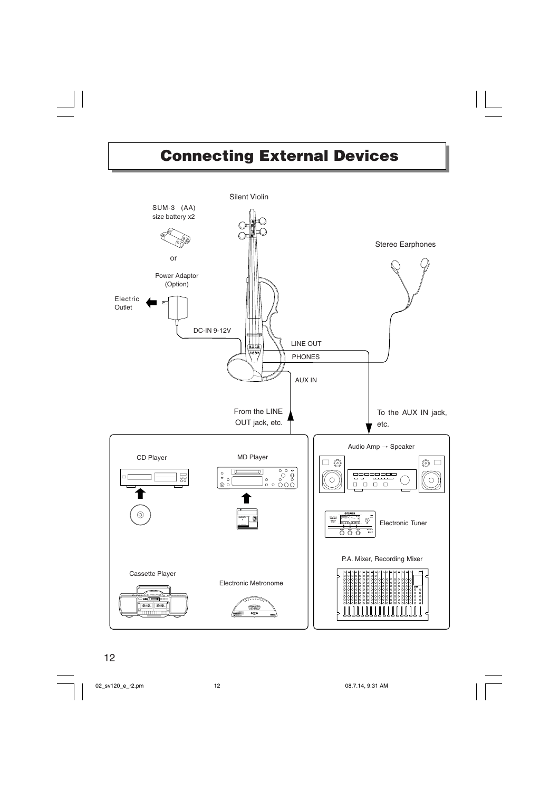# **Connecting External Devices**

![](_page_11_Figure_1.jpeg)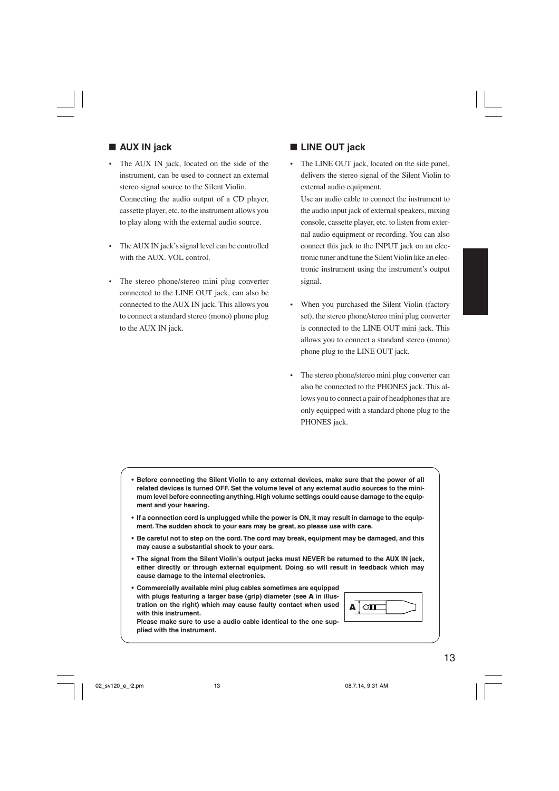### ■ **AUX IN** jack

- The AUX IN jack, located on the side of the instrument, can be used to connect an external stereo signal source to the Silent Violin. Connecting the audio output of a CD player, cassette player, etc. to the instrument allows you to play along with the external audio source.
- The AUX IN jack's signal level can be controlled with the AUX. VOL control.
- The stereo phone/stereo mini plug converter connected to the LINE OUT jack, can also be connected to the AUX IN jack. This allows you to connect a standard stereo (mono) phone plug to the AUX IN jack.

# ■ **LINE OUT jack**

• The LINE OUT jack, located on the side panel, delivers the stereo signal of the Silent Violin to external audio equipment.

Use an audio cable to connect the instrument to the audio input jack of external speakers, mixing console, cassette player, etc. to listen from external audio equipment or recording. You can also connect this jack to the INPUT jack on an electronic tuner and tune the Silent Violin like an electronic instrument using the instrument's output signal.

- When you purchased the Silent Violin (factory set), the stereo phone/stereo mini plug converter is connected to the LINE OUT mini jack. This allows you to connect a standard stereo (mono) phone plug to the LINE OUT jack.
- The stereo phone/stereo mini plug converter can also be connected to the PHONES jack. This allows you to connect a pair of headphones that are only equipped with a standard phone plug to the PHONES jack.
- **• Before connecting the Silent Violin to any external devices, make sure that the power of all related devices is turned OFF. Set the volume level of any external audio sources to the minimum level before connecting anything. High volume settings could cause damage to the equipment and your hearing.**
- **• If a connection cord is unplugged while the power is ON, it may result in damage to the equipment. The sudden shock to your ears may be great, so please use with care.**
- **• Be careful not to step on the cord. The cord may break, equipment may be damaged, and this may cause a substantial shock to your ears.**
- **• The signal from the Silent Violin's output jacks must NEVER be returned to the AUX IN jack, either directly or through external equipment. Doing so will result in feedback which may cause damage to the internal electronics.**
- **• Commercially available mini plug cables sometimes are equipped with plugs featuring a larger base (grip) diameter (see A in illustration on the right) which may cause faulty contact when used with this instrument.**

**Please make sure to use a audio cable identical to the one supplied with the instrument.**

![](_page_12_Figure_15.jpeg)